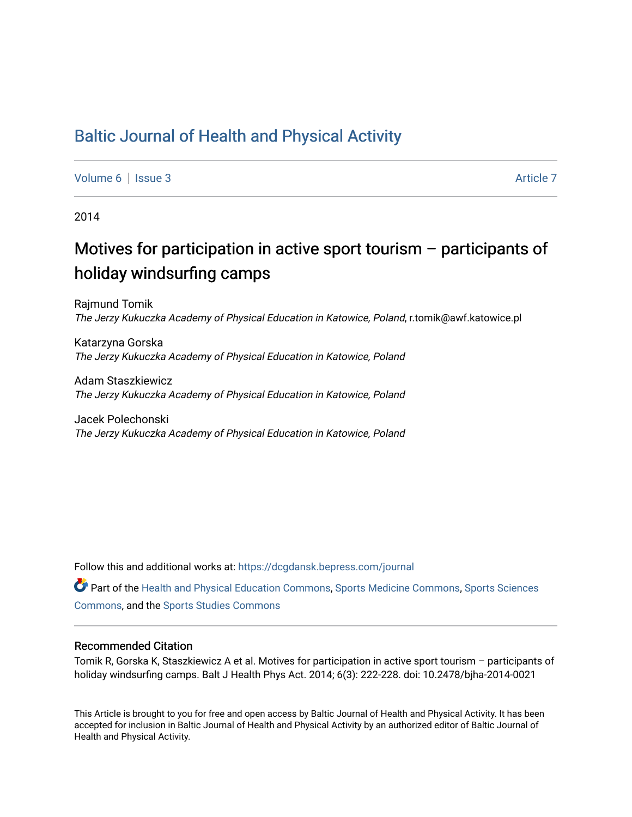# [Baltic Journal of Health and Physical Activity](https://dcgdansk.bepress.com/journal)

[Volume 6](https://dcgdansk.bepress.com/journal/vol6) | [Issue 3](https://dcgdansk.bepress.com/journal/vol6/iss3) Article 7

2014

# Motives for participation in active sport tourism – participants of holiday windsurfing camps

Rajmund Tomik The Jerzy Kukuczka Academy of Physical Education in Katowice, Poland, r.tomik@awf.katowice.pl

Katarzyna Gorska The Jerzy Kukuczka Academy of Physical Education in Katowice, Poland

Adam Staszkiewicz The Jerzy Kukuczka Academy of Physical Education in Katowice, Poland

Jacek Polechonski The Jerzy Kukuczka Academy of Physical Education in Katowice, Poland

Follow this and additional works at: [https://dcgdansk.bepress.com/journal](https://dcgdansk.bepress.com/journal?utm_source=dcgdansk.bepress.com%2Fjournal%2Fvol6%2Fiss3%2F7&utm_medium=PDF&utm_campaign=PDFCoverPages)

Part of the [Health and Physical Education Commons](http://network.bepress.com/hgg/discipline/1327?utm_source=dcgdansk.bepress.com%2Fjournal%2Fvol6%2Fiss3%2F7&utm_medium=PDF&utm_campaign=PDFCoverPages), [Sports Medicine Commons,](http://network.bepress.com/hgg/discipline/1331?utm_source=dcgdansk.bepress.com%2Fjournal%2Fvol6%2Fiss3%2F7&utm_medium=PDF&utm_campaign=PDFCoverPages) [Sports Sciences](http://network.bepress.com/hgg/discipline/759?utm_source=dcgdansk.bepress.com%2Fjournal%2Fvol6%2Fiss3%2F7&utm_medium=PDF&utm_campaign=PDFCoverPages) [Commons](http://network.bepress.com/hgg/discipline/759?utm_source=dcgdansk.bepress.com%2Fjournal%2Fvol6%2Fiss3%2F7&utm_medium=PDF&utm_campaign=PDFCoverPages), and the [Sports Studies Commons](http://network.bepress.com/hgg/discipline/1198?utm_source=dcgdansk.bepress.com%2Fjournal%2Fvol6%2Fiss3%2F7&utm_medium=PDF&utm_campaign=PDFCoverPages) 

#### Recommended Citation

Tomik R, Gorska K, Staszkiewicz A et al. Motives for participation in active sport tourism – participants of holiday windsurfing camps. Balt J Health Phys Act. 2014; 6(3): 222-228. doi: 10.2478/bjha-2014-0021

This Article is brought to you for free and open access by Baltic Journal of Health and Physical Activity. It has been accepted for inclusion in Baltic Journal of Health and Physical Activity by an authorized editor of Baltic Journal of Health and Physical Activity.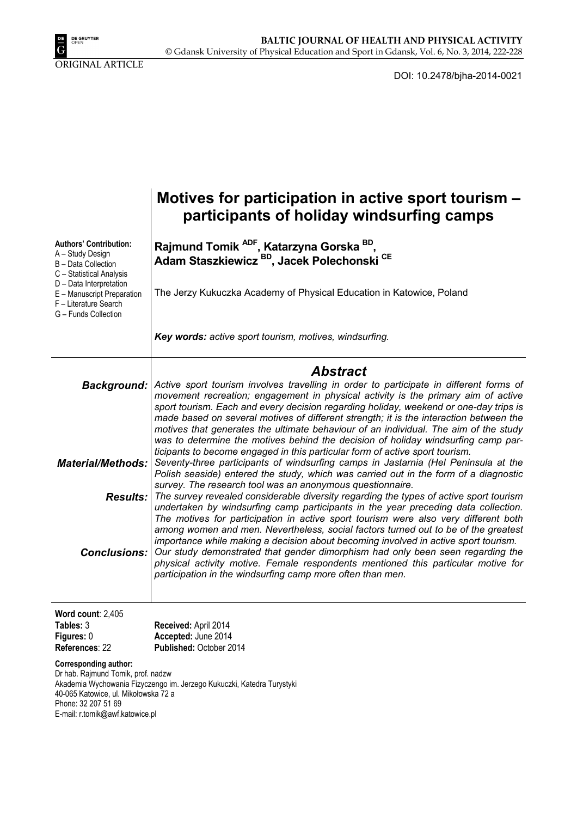

DOI: 10.2478/bjha-2014-0021

|                                                                                                                                                                                                                | Motives for participation in active sport tourism -<br>participants of holiday windsurfing camps                                                                                                                                                                                                                                                                                                                                                                                                      |  |  |  |  |  |
|----------------------------------------------------------------------------------------------------------------------------------------------------------------------------------------------------------------|-------------------------------------------------------------------------------------------------------------------------------------------------------------------------------------------------------------------------------------------------------------------------------------------------------------------------------------------------------------------------------------------------------------------------------------------------------------------------------------------------------|--|--|--|--|--|
| <b>Authors' Contribution:</b><br>A - Study Design<br>B - Data Collection<br>C - Statistical Analysis                                                                                                           | Rajmund Tomik <sup>ADF</sup> , Katarzyna Gorska <sup>BD</sup> ,<br>Adam Staszkiewicz BD, Jacek Polechonski CE                                                                                                                                                                                                                                                                                                                                                                                         |  |  |  |  |  |
| D - Data Interpretation<br>E - Manuscript Preparation<br>F - Literature Search<br>G - Funds Collection                                                                                                         | The Jerzy Kukuczka Academy of Physical Education in Katowice, Poland                                                                                                                                                                                                                                                                                                                                                                                                                                  |  |  |  |  |  |
|                                                                                                                                                                                                                | Key words: active sport tourism, motives, windsurfing.                                                                                                                                                                                                                                                                                                                                                                                                                                                |  |  |  |  |  |
|                                                                                                                                                                                                                | <b>Abstract</b>                                                                                                                                                                                                                                                                                                                                                                                                                                                                                       |  |  |  |  |  |
| Background:                                                                                                                                                                                                    | Active sport tourism involves travelling in order to participate in different forms of<br>movement recreation; engagement in physical activity is the primary aim of active<br>sport tourism. Each and every decision regarding holiday, weekend or one-day trips is<br>made based on several motives of different strength; it is the interaction between the                                                                                                                                        |  |  |  |  |  |
|                                                                                                                                                                                                                | motives that generates the ultimate behaviour of an individual. The aim of the study                                                                                                                                                                                                                                                                                                                                                                                                                  |  |  |  |  |  |
|                                                                                                                                                                                                                | was to determine the motives behind the decision of holiday windsurfing camp par-<br>ticipants to become engaged in this particular form of active sport tourism.                                                                                                                                                                                                                                                                                                                                     |  |  |  |  |  |
| <b>Material/Methods:</b>                                                                                                                                                                                       | Seventy-three participants of windsurfing camps in Jastarnia (Hel Peninsula at the<br>Polish seaside) entered the study, which was carried out in the form of a diagnostic                                                                                                                                                                                                                                                                                                                            |  |  |  |  |  |
|                                                                                                                                                                                                                | survey. The research tool was an anonymous questionnaire.<br><b>Results:</b> The survey revealed considerable diversity regarding the types of active sport tourism                                                                                                                                                                                                                                                                                                                                   |  |  |  |  |  |
|                                                                                                                                                                                                                | undertaken by windsurfing camp participants in the year preceding data collection.                                                                                                                                                                                                                                                                                                                                                                                                                    |  |  |  |  |  |
| <b>Conclusions:</b>                                                                                                                                                                                            | The motives for participation in active sport tourism were also very different both<br>among women and men. Nevertheless, social factors turned out to be of the greatest<br>importance while making a decision about becoming involved in active sport tourism.<br>Our study demonstrated that gender dimorphism had only been seen regarding the<br>physical activity motive. Female respondents mentioned this particular motive for<br>participation in the windsurfing camp more often than men. |  |  |  |  |  |
|                                                                                                                                                                                                                |                                                                                                                                                                                                                                                                                                                                                                                                                                                                                                       |  |  |  |  |  |
| Word count: $2,405$<br>Tables: 3<br>Figures: 0                                                                                                                                                                 | Received: April 2014<br>Accepted: June 2014                                                                                                                                                                                                                                                                                                                                                                                                                                                           |  |  |  |  |  |
| References: 22<br>Corresponding author:                                                                                                                                                                        | Published: October 2014                                                                                                                                                                                                                                                                                                                                                                                                                                                                               |  |  |  |  |  |
| Dr hab. Rajmund Tomik, prof. nadzw<br>Akademia Wychowania Fizyczengo im. Jerzego Kukuczki, Katedra Turystyki<br>40-065 Katowice, ul. Mikołowska 72 a<br>Phone: 32 207 51 69<br>E-mail: r.tomik@awf.katowice.pl |                                                                                                                                                                                                                                                                                                                                                                                                                                                                                                       |  |  |  |  |  |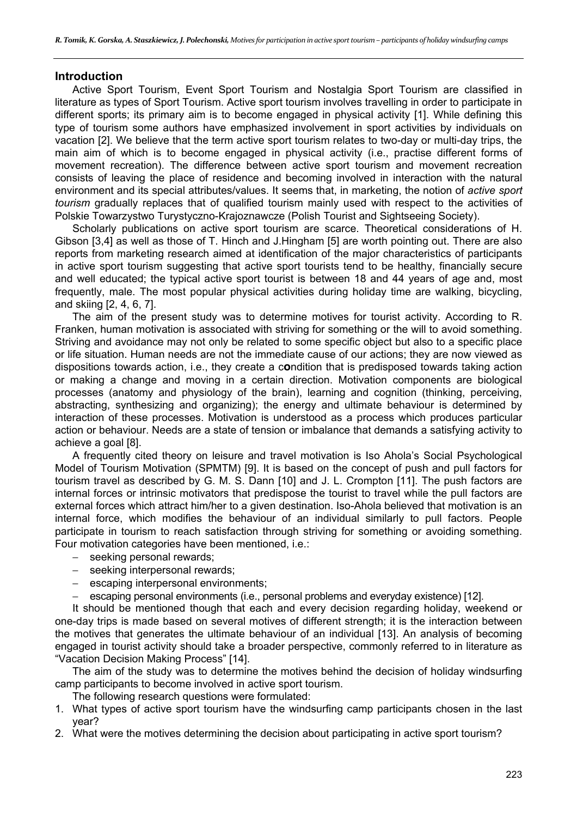### **Introduction**

Active Sport Tourism, Event Sport Tourism and Nostalgia Sport Tourism are classified in literature as types of Sport Tourism. Active sport tourism involves travelling in order to participate in different sports; its primary aim is to become engaged in physical activity [1]. While defining this type of tourism some authors have emphasized involvement in sport activities by individuals on vacation [2]. We believe that the term active sport tourism relates to two-day or multi-day trips, the main aim of which is to become engaged in physical activity (i.e., practise different forms of movement recreation). The difference between active sport tourism and movement recreation consists of leaving the place of residence and becoming involved in interaction with the natural environment and its special attributes/values. It seems that, in marketing, the notion of *active sport tourism* gradually replaces that of qualified tourism mainly used with respect to the activities of Polskie Towarzystwo Turystyczno-Krajoznawcze (Polish Tourist and Sightseeing Society).

Scholarly publications on active sport tourism are scarce. Theoretical considerations of H. Gibson [3,4] as well as those of T. Hinch and J.Hingham [5] are worth pointing out. There are also reports from marketing research aimed at identification of the major characteristics of participants in active sport tourism suggesting that active sport tourists tend to be healthy, financially secure and well educated; the typical active sport tourist is between 18 and 44 years of age and, most frequently, male. The most popular physical activities during holiday time are walking, bicycling, and skiing [2, 4, 6, 7].

The aim of the present study was to determine motives for tourist activity. According to R. Franken, human motivation is associated with striving for something or the will to avoid something. Striving and avoidance may not only be related to some specific object but also to a specific place or life situation. Human needs are not the immediate cause of our actions; they are now viewed as dispositions towards action, i.e., they create a c**o**ndition that is predisposed towards taking action or making a change and moving in a certain direction. Motivation components are biological processes (anatomy and physiology of the brain), learning and cognition (thinking, perceiving, abstracting, synthesizing and organizing); the energy and ultimate behaviour is determined by interaction of these processes. Motivation is understood as a process which produces particular action or behaviour. Needs are a state of tension or imbalance that demands a satisfying activity to achieve a goal [8].

A frequently cited theory on leisure and travel motivation is Iso Ahola's Social Psychological Model of Tourism Motivation (SPMTM) [9]. It is based on the concept of push and pull factors for tourism travel as described by G. M. S. Dann [10] and J. L. Crompton [11]. The push factors are internal forces or intrinsic motivators that predispose the tourist to travel while the pull factors are external forces which attract him/her to a given destination. Iso-Ahola believed that motivation is an internal force, which modifies the behaviour of an individual similarly to pull factors. People participate in tourism to reach satisfaction through striving for something or avoiding something. Four motivation categories have been mentioned, i.e.:

- seeking personal rewards;
- seeking interpersonal rewards;
- escaping interpersonal environments:
- escaping personal environments (i.e., personal problems and everyday existence) [12].

It should be mentioned though that each and every decision regarding holiday, weekend or one-day trips is made based on several motives of different strength; it is the interaction between the motives that generates the ultimate behaviour of an individual [13]. An analysis of becoming engaged in tourist activity should take a broader perspective, commonly referred to in literature as "Vacation Decision Making Process" [14].

The aim of the study was to determine the motives behind the decision of holiday windsurfing camp participants to become involved in active sport tourism.

The following research questions were formulated:

- 1. What types of active sport tourism have the windsurfing camp participants chosen in the last year?
- 2. What were the motives determining the decision about participating in active sport tourism?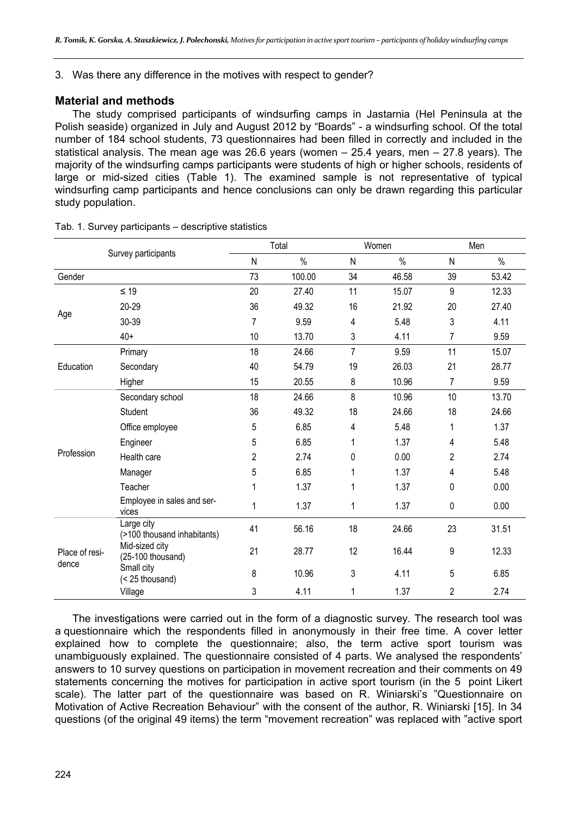3. Was there any difference in the motives with respect to gender?

## **Material and methods**

The study comprised participants of windsurfing camps in Jastarnia (Hel Peninsula at the Polish seaside) organized in July and August 2012 by "Boards" - a windsurfing school. Of the total number of 184 school students, 73 questionnaires had been filled in correctly and included in the statistical analysis. The mean age was 26.6 years (women – 25.4 years, men – 27.8 years). The majority of the windsurfing camps participants were students of high or higher schools, residents of large or mid-sized cities (Table 1). The examined sample is not representative of typical windsurfing camp participants and hence conclusions can only be drawn regarding this particular study population.

|                         |                                           | Total          |        | Women          |       | Men            |       |
|-------------------------|-------------------------------------------|----------------|--------|----------------|-------|----------------|-------|
|                         | Survey participants                       | N              | $\%$   | N              | $\%$  | N              | $\%$  |
| Gender                  |                                           | 73             | 100.00 | 34             | 46.58 | 39             | 53.42 |
|                         | $\leq 19$                                 | 20             | 27.40  | 11             | 15.07 | 9              | 12.33 |
| Age                     | $20 - 29$                                 | 36             | 49.32  | 16             | 21.92 | 20             | 27.40 |
|                         | 30-39                                     | $\overline{7}$ | 9.59   | 4              | 5.48  | 3              | 4.11  |
|                         | $40+$                                     | 10             | 13.70  | 3              | 4.11  | 7              | 9.59  |
| Education               | Primary                                   | 18             | 24.66  | $\overline{7}$ | 9.59  | 11             | 15.07 |
|                         | Secondary                                 | 40             | 54.79  | 19             | 26.03 | 21             | 28.77 |
|                         | Higher                                    | 15             | 20.55  | 8              | 10.96 | 7              | 9.59  |
| Profession              | Secondary school                          | 18             | 24.66  | 8              | 10.96 | 10             | 13.70 |
|                         | <b>Student</b>                            | 36             | 49.32  | 18             | 24.66 | 18             | 24.66 |
|                         | Office employee                           | 5              | 6.85   | 4              | 5.48  | 1              | 1.37  |
|                         | Engineer                                  | 5              | 6.85   | 1              | 1.37  | 4              | 5.48  |
|                         | Health care                               | $\overline{2}$ | 2.74   | 0              | 0.00  | $\overline{2}$ | 2.74  |
|                         | Manager                                   | 5              | 6.85   | 1              | 1.37  | 4              | 5.48  |
|                         | Teacher                                   | 1              | 1.37   | 1              | 1.37  | 0              | 0.00  |
|                         | Employee in sales and ser-<br>vices       | 1              | 1.37   | 1              | 1.37  | 0              | 0.00  |
| Place of resi-<br>dence | Large city<br>(>100 thousand inhabitants) | 41             | 56.16  | 18             | 24.66 | 23             | 31.51 |
|                         | Mid-sized city<br>(25-100 thousand)       | 21             | 28.77  | 12             | 16.44 | 9              | 12.33 |
|                         | Small city<br>(< 25 thousand)             | 8              | 10.96  | 3              | 4.11  | 5              | 6.85  |
|                         | Village                                   | 3              | 4.11   | 1              | 1.37  | 2              | 2.74  |

Tab. 1. Survey participants – descriptive statistics

The investigations were carried out in the form of a diagnostic survey. The research tool was a questionnaire which the respondents filled in anonymously in their free time. A cover letter explained how to complete the questionnaire; also, the term active sport tourism was unambiguously explained. The questionnaire consisted of 4 parts. We analysed the respondents' answers to 10 survey questions on participation in movement recreation and their comments on 49 statements concerning the motives for participation in active sport tourism (in the 5 point Likert scale). The latter part of the questionnaire was based on R. Winiarski's "Questionnaire on Motivation of Active Recreation Behaviour" with the consent of the author, R. Winiarski [15]. In 34 questions (of the original 49 items) the term "movement recreation" was replaced with "active sport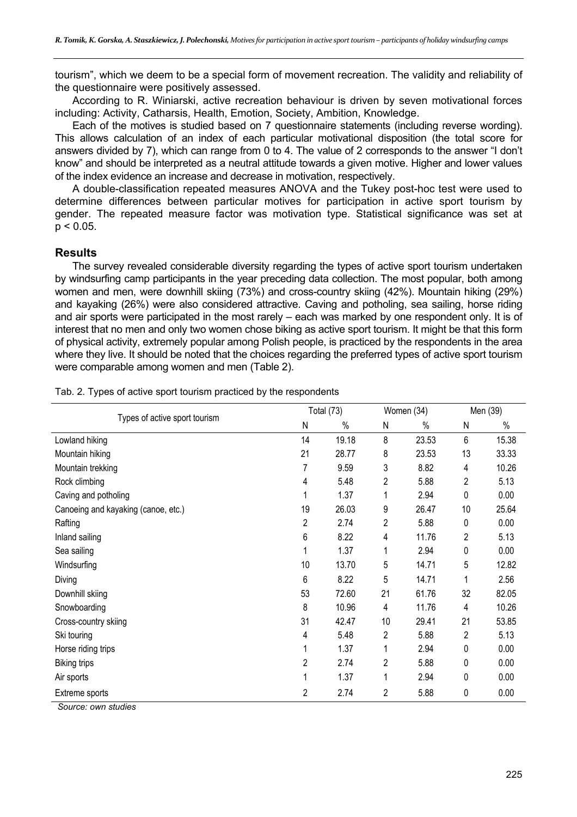tourism", which we deem to be a special form of movement recreation. The validity and reliability of the questionnaire were positively assessed.

According to R. Winiarski, active recreation behaviour is driven by seven motivational forces including: Activity, Catharsis, Health, Emotion, Society, Ambition, Knowledge.

Each of the motives is studied based on 7 questionnaire statements (including reverse wording). This allows calculation of an index of each particular motivational disposition (the total score for answers divided by 7), which can range from 0 to 4. The value of 2 corresponds to the answer "I don't know" and should be interpreted as a neutral attitude towards a given motive. Higher and lower values of the index evidence an increase and decrease in motivation, respectively.

A double-classification repeated measures ANOVA and the Tukey post-hoc test were used to determine differences between particular motives for participation in active sport tourism by gender. The repeated measure factor was motivation type. Statistical significance was set at  $p < 0.05$ .

### **Results**

The survey revealed considerable diversity regarding the types of active sport tourism undertaken by windsurfing camp participants in the year preceding data collection. The most popular, both among women and men, were downhill skiing (73%) and cross-country skiing (42%). Mountain hiking (29%) and kayaking (26%) were also considered attractive. Caving and potholing, sea sailing, horse riding and air sports were participated in the most rarely – each was marked by one respondent only. It is of interest that no men and only two women chose biking as active sport tourism. It might be that this form of physical activity, extremely popular among Polish people, is practiced by the respondents in the area where they live. It should be noted that the choices regarding the preferred types of active sport tourism were comparable among women and men (Table 2).

|                                             | <b>Total (73)</b> |       | Women (34)     |       | Men (39) |       |
|---------------------------------------------|-------------------|-------|----------------|-------|----------|-------|
| Types of active sport tourism               | N                 | %     | N              | %     | N        | $\%$  |
| Lowland hiking                              | 14                | 19.18 | 8              | 23.53 | 6        | 15.38 |
| Mountain hiking                             | 21                | 28.77 | 8              | 23.53 | 13       | 33.33 |
| Mountain trekking                           |                   | 9.59  | 3              | 8.82  | 4        | 10.26 |
| Rock climbing                               | 4                 | 5.48  | $\overline{2}$ | 5.88  | 2        | 5.13  |
| Caving and potholing                        |                   | 1.37  | 1              | 2.94  | 0        | 0.00  |
| Canoeing and kayaking (canoe, etc.)         | 19                | 26.03 | 9              | 26.47 | 10       | 25.64 |
| Rafting                                     | 2                 | 2.74  | 2              | 5.88  | 0        | 0.00  |
| Inland sailing                              | 6                 | 8.22  | 4              | 11.76 | 2        | 5.13  |
| Sea sailing                                 |                   | 1.37  | 1              | 2.94  | 0        | 0.00  |
| Windsurfing                                 | 10                | 13.70 | 5              | 14.71 | 5        | 12.82 |
| Diving                                      | 6                 | 8.22  | 5              | 14.71 | 1        | 2.56  |
| Downhill skiing                             | 53                | 72.60 | 21             | 61.76 | 32       | 82.05 |
| Snowboarding                                | 8                 | 10.96 | 4              | 11.76 | 4        | 10.26 |
| Cross-country skiing                        | 31                | 42.47 | 10             | 29.41 | 21       | 53.85 |
| Ski touring                                 | 4                 | 5.48  | 2              | 5.88  | 2        | 5.13  |
| Horse riding trips                          |                   | 1.37  | 1              | 2.94  | 0        | 0.00  |
| <b>Biking trips</b>                         | 2                 | 2.74  | 2              | 5.88  | 0        | 0.00  |
| Air sports                                  |                   | 1.37  | 1              | 2.94  | 0        | 0.00  |
| Extreme sports<br>$\mathbf{r}$ $\mathbf{r}$ | 2                 | 2.74  | 2              | 5.88  | 0        | 0.00  |

Tab. 2. Types of active sport tourism practiced by the respondents

 *Source: own studies*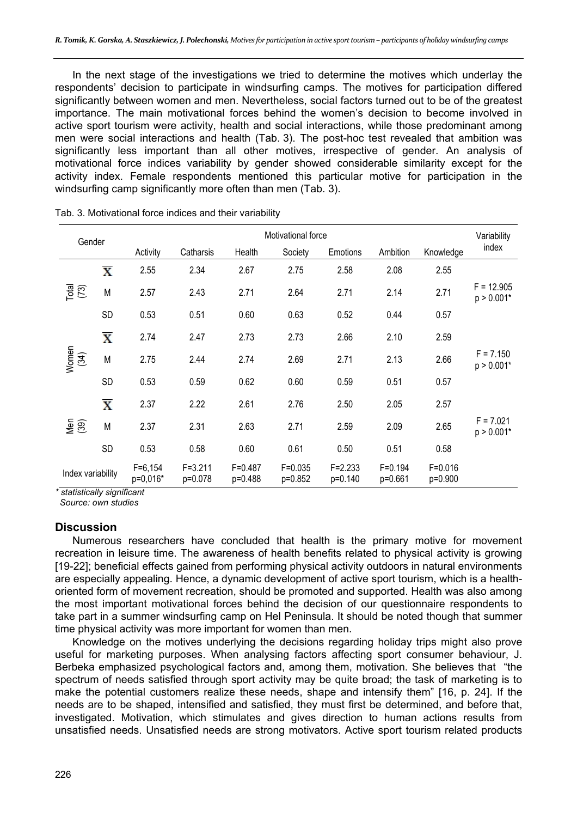In the next stage of the investigations we tried to determine the motives which underlay the respondents' decision to participate in windsurfing camps. The motives for participation differed significantly between women and men. Nevertheless, social factors turned out to be of the greatest importance. The main motivational forces behind the women's decision to become involved in active sport tourism were activity, health and social interactions, while those predominant among men were social interactions and health (Tab. 3). The post-hoc test revealed that ambition was significantly less important than all other motives, irrespective of gender. An analysis of motivational force indices variability by gender showed considerable similarity except for the activity index. Female respondents mentioned this particular motive for participation in the windsurfing camp significantly more often than men (Tab. 3).

| Gender                 |                         | Motivational force    |                        |                        |                        |                        |                        | Variability              |                              |
|------------------------|-------------------------|-----------------------|------------------------|------------------------|------------------------|------------------------|------------------------|--------------------------|------------------------------|
|                        |                         | Activity              | Catharsis              | Health                 | Society                | Emotions               | Ambition               | Knowledge                | index                        |
| Total<br>(73)          | $\overline{\textbf{X}}$ | 2.55                  | 2.34                   | 2.67                   | 2.75                   | 2.58                   | 2.08                   | 2.55                     |                              |
|                        | M                       | 2.57                  | 2.43                   | 2.71                   | 2.64                   | 2.71                   | 2.14                   | 2.71                     | $F = 12.905$<br>$p > 0.001*$ |
|                        | <b>SD</b>               | 0.53                  | 0.51                   | 0.60                   | 0.63                   | 0.52                   | 0.44                   | 0.57                     |                              |
| Women<br>(34)          | $\overline{\text{X}}$   | 2.74                  | 2.47                   | 2.73                   | 2.73                   | 2.66                   | 2.10                   | 2.59                     |                              |
|                        | M                       | 2.75                  | 2.44                   | 2.74                   | 2.69                   | 2.71                   | 2.13                   | 2.66                     | $F = 7.150$<br>$p > 0.001*$  |
|                        | <b>SD</b>               | 0.53                  | 0.59                   | 0.62                   | 0.60                   | 0.59                   | 0.51                   | 0.57                     |                              |
| $M$ en                 | $\overline{\textbf{X}}$ | 2.37                  | 2.22                   | 2.61                   | 2.76                   | 2.50                   | 2.05                   | 2.57                     |                              |
|                        | M                       | 2.37                  | 2.31                   | 2.63                   | 2.71                   | 2.59                   | 2.09                   | 2.65                     | $F = 7.021$<br>$p > 0.001*$  |
|                        | SD                      | 0.53                  | 0.58                   | 0.60                   | 0.61                   | 0.50                   | 0.51                   | 0.58                     |                              |
| Index variability<br>. |                         | $F=6,154$<br>p=0,016* | $F = 3.211$<br>p=0.078 | $F = 0.487$<br>p=0.488 | $F = 0.035$<br>p=0.852 | $F = 2.233$<br>p=0.140 | $F = 0.194$<br>p=0.661 | $F = 0.016$<br>$p=0.900$ |                              |

Tab. 3. Motivational force indices and their variability

*\* statistically significant* 

 *Source: own studies* 

#### **Discussion**

Numerous researchers have concluded that health is the primary motive for movement recreation in leisure time. The awareness of health benefits related to physical activity is growing [19-22]; beneficial effects gained from performing physical activity outdoors in natural environments are especially appealing. Hence, a dynamic development of active sport tourism, which is a healthoriented form of movement recreation, should be promoted and supported. Health was also among the most important motivational forces behind the decision of our questionnaire respondents to take part in a summer windsurfing camp on Hel Peninsula. It should be noted though that summer time physical activity was more important for women than men.

Knowledge on the motives underlying the decisions regarding holiday trips might also prove useful for marketing purposes. When analysing factors affecting sport consumer behaviour, J. Berbeka emphasized psychological factors and, among them, motivation. She believes that "the spectrum of needs satisfied through sport activity may be quite broad; the task of marketing is to make the potential customers realize these needs, shape and intensify them" [16, p. 24]. If the needs are to be shaped, intensified and satisfied, they must first be determined, and before that, investigated. Motivation, which stimulates and gives direction to human actions results from unsatisfied needs. Unsatisfied needs are strong motivators. Active sport tourism related products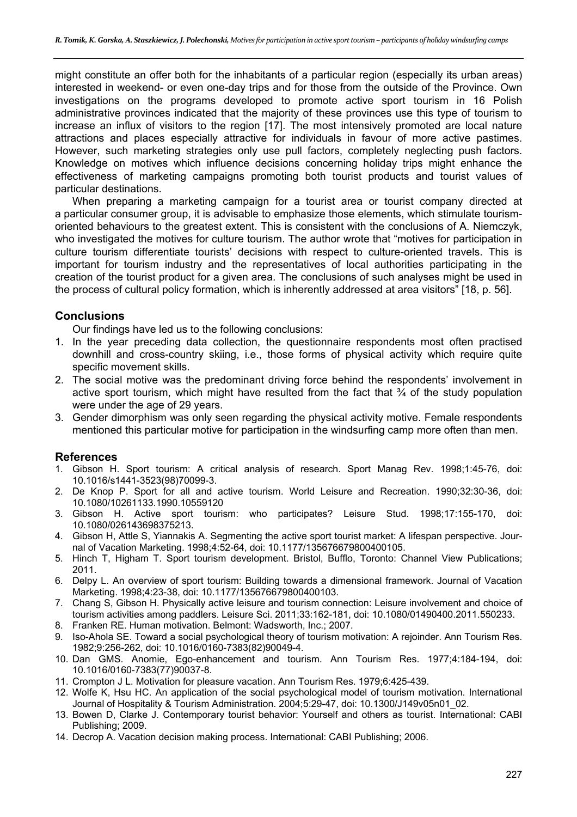might constitute an offer both for the inhabitants of a particular region (especially its urban areas) interested in weekend- or even one-day trips and for those from the outside of the Province. Own investigations on the programs developed to promote active sport tourism in 16 Polish administrative provinces indicated that the majority of these provinces use this type of tourism to increase an influx of visitors to the region [17]. The most intensively promoted are local nature attractions and places especially attractive for individuals in favour of more active pastimes. However, such marketing strategies only use pull factors, completely neglecting push factors. Knowledge on motives which influence decisions concerning holiday trips might enhance the effectiveness of marketing campaigns promoting both tourist products and tourist values of particular destinations.

When preparing a marketing campaign for a tourist area or tourist company directed at a particular consumer group, it is advisable to emphasize those elements, which stimulate tourismoriented behaviours to the greatest extent. This is consistent with the conclusions of A. Niemczyk, who investigated the motives for culture tourism. The author wrote that "motives for participation in culture tourism differentiate tourists' decisions with respect to culture-oriented travels. This is important for tourism industry and the representatives of local authorities participating in the creation of the tourist product for a given area. The conclusions of such analyses might be used in the process of cultural policy formation, which is inherently addressed at area visitors" [18, p. 56].

# **Conclusions**

Our findings have led us to the following conclusions:

- 1. In the year preceding data collection, the questionnaire respondents most often practised downhill and cross-country skiing, i.e., those forms of physical activity which require quite specific movement skills.
- 2. The social motive was the predominant driving force behind the respondents' involvement in active sport tourism, which might have resulted from the fact that  $\frac{3}{4}$  of the study population were under the age of 29 years.
- 3. Gender dimorphism was only seen regarding the physical activity motive. Female respondents mentioned this particular motive for participation in the windsurfing camp more often than men.

#### **References**

- 1. Gibson H. Sport tourism: A critical analysis of research. Sport Manag Rev. 1998;1:45-76, doi: 10.1016/s1441-3523(98)70099-3.
- 2. De Knop P. Sport for all and active tourism. World Leisure and Recreation. 1990;32:30-36, doi: 10.1080/10261133.1990.10559120
- 3. Gibson H. Active sport tourism: who participates? Leisure Stud. 1998;17:155-170, doi: 10.1080/026143698375213.
- 4. Gibson H, Attle S, Yiannakis A. Segmenting the active sport tourist market: A lifespan perspective. Journal of Vacation Marketing. 1998;4:52-64, doi: 10.1177/135676679800400105.
- 5. Hinch T, Higham T. Sport tourism development. Bristol, Bufflo, Toronto: Channel View Publications; 2011.
- 6. Delpy L. An overview of sport tourism: Building towards a dimensional framework. Journal of Vacation Marketing. 1998;4:23-38, doi: 10.1177/135676679800400103.
- 7. Chang S, Gibson H. Physically active leisure and tourism connection: Leisure involvement and choice of tourism activities among paddlers. Leisure Sci. 2011;33:162-181, doi: 10.1080/01490400.2011.550233.
- 8. Franken RE. Human motivation. Belmont: Wadsworth, Inc.; 2007.
- 9. Iso-Ahola SE. Toward a social psychological theory of tourism motivation: A rejoinder. Ann Tourism Res. 1982;9:256-262, doi: 10.1016/0160-7383(82)90049-4.
- 10. Dan GMS. Anomie, Ego-enhancement and tourism. Ann Tourism Res. 1977;4:184-194, doi: 10.1016/0160-7383(77)90037-8.
- 11. Crompton J L. Motivation for pleasure vacation. Ann Tourism Res. 1979;6:425-439.
- 12. Wolfe K, Hsu HC. An application of the social psychological model of tourism motivation. International Journal of Hospitality & Tourism Administration. 2004;5:29-47, doi: 10.1300/J149v05n01\_02.
- 13. Bowen D, Clarke J. Contemporary tourist behavior: Yourself and others as tourist. International: CABI Publishing; 2009.
- 14. Decrop A. Vacation decision making process. International: CABI Publishing; 2006.